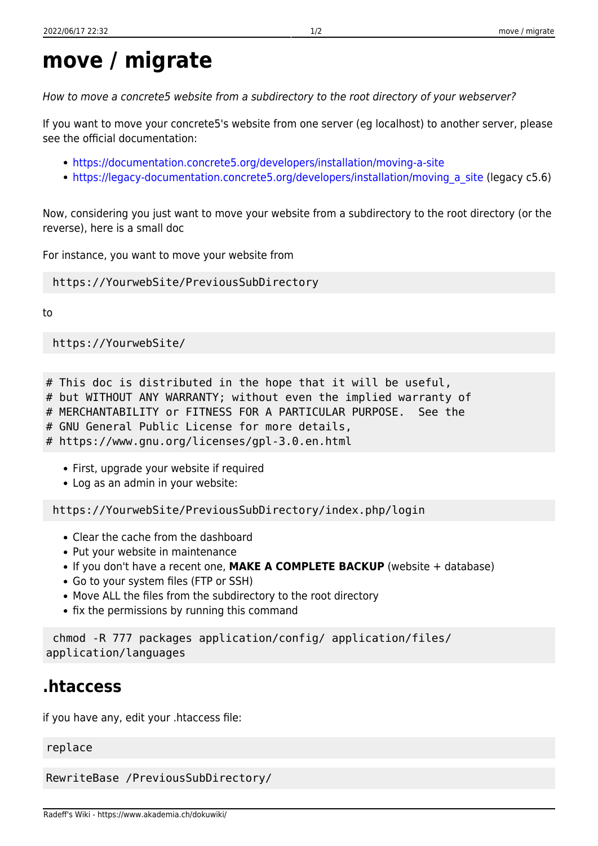## **move / migrate**

How to move a concrete5 website from a subdirectory to the root directory of your webserver?

If you want to move your concrete5's website from one server (eg localhost) to another server, please see the official documentation:

- <https://documentation.concrete5.org/developers/installation/moving-a-site>
- https://legacy-documentation.concrete5.org/developers/installation/moving a site (legacy c5.6)

Now, considering you just want to move your website from a subdirectory to the root directory (or the reverse), here is a small doc

For instance, you want to move your website from

## https://YourwebSite/PreviousSubDirectory

to

https://YourwebSite/

# This doc is distributed in the hope that it will be useful,

# but WITHOUT ANY WARRANTY; without even the implied warranty of

# MERCHANTABILITY or FITNESS FOR A PARTICULAR PURPOSE. See the

# GNU General Public License for more details,

# https://www.gnu.org/licenses/gpl-3.0.en.html

- First, upgrade your website if required
- Log as an admin in your website:

https://YourwebSite/PreviousSubDirectory/index.php/login

- Clear the cache from the dashboard
- Put your website in maintenance
- If you don't have a recent one, MAKE A COMPLETE BACKUP (website + database)
- Go to your system files (FTP or SSH)
- Move ALL the files from the subdirectory to the root directory
- fix the permissions by running this command

 chmod -R 777 packages application/config/ application/files/ application/languages

## **.htaccess**

if you have any, edit your .htaccess file:

replace

RewriteBase /PreviousSubDirectory/